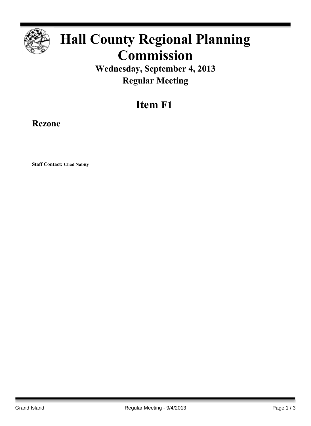

## **Hall County Regional Planning Commission**

**Wednesday, September 4, 2013 Regular Meeting**

## **Item F1**

**Rezone**

**Staff Contact: Chad Nabity**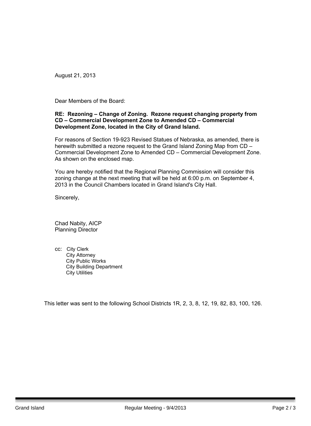August 21, 2013

Dear Members of the Board:

## **RE: Rezoning – Change of Zoning. Rezone request changing property from CD – Commercial Development Zone to Amended CD – Commercial Development Zone, located in the City of Grand Island.**

For reasons of Section 19-923 Revised Statues of Nebraska, as amended, there is herewith submitted a rezone request to the Grand Island Zoning Map from CD – Commercial Development Zone to Amended CD – Commercial Development Zone. As shown on the enclosed map.

You are hereby notified that the Regional Planning Commission will consider this zoning change at the next meeting that will be held at 6:00 p.m. on September 4, 2013 in the Council Chambers located in Grand Island's City Hall.

Sincerely,

Chad Nabity, AICP Planning Director

cc: City Clerk City Attorney City Public Works City Building Department City Utilities

This letter was sent to the following School Districts 1R, 2, 3, 8, 12, 19, 82, 83, 100, 126.